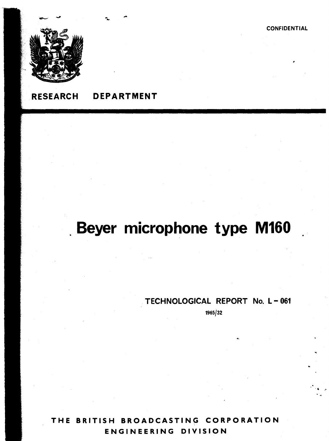'. ~



# RESEARCH DEPARTMENT

# . **Beyer microphone type M160 .**

# TECHNOLOGICAL REPORT No. L - 061

1965/32

THE BRITISH BROADCASTING CORPORATION ENGINEERING DIVISION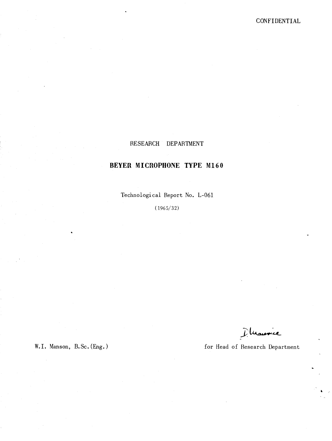### RESEARCH DEPARTMENT

## **BEYER MICROPHONE TYPE M160**

Technological Report No. L-061

(1965/32)

**W.I.** Manson, B.Sc.(Eng.)

Dhauvice

for Head of Research Department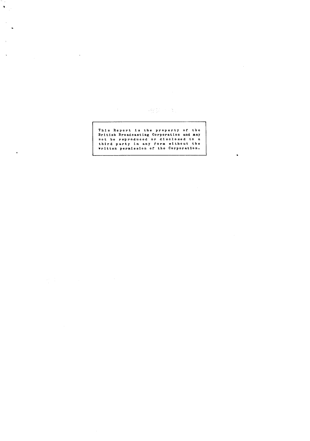$\label{eq:Ricci} \mathcal{A}^{\text{Ric}}_{\text{max}}(x) = \mathcal{A}^{\text{Ric}}_{\text{max}}(x) = \mathcal{A}^{\text{Ric}}_{\text{max}}(x)$ 

 $\ddot{\phantom{0}}$ 

# This Report is the property of the **British Broadcasting Corporation and may**<br>not be reproduced or disclosed to a<br>third party in any form without the<br>written permission of the Corporation.

.<br>V  $\left\langle \mathbf{r}_{\mathrm{eff}}\right\rangle$ 

 $\bar{\gamma}$ 

 $\ddot{\phantom{1}}$ 

 $\ddot{\phantom{0}}$ 

 $\sim$   $\lambda$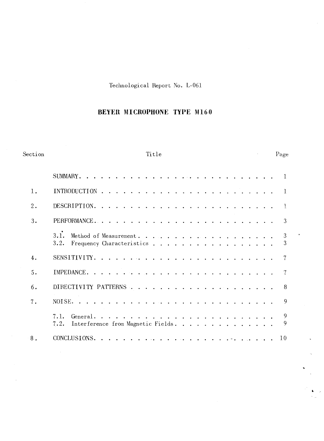Technological Heport No. L-061

# **BEYEn MICROPHONE TYPE M160**

| $\operatorname{Section}$ | Title                                                                                                                                                                                                                                         |  | Page   |
|--------------------------|-----------------------------------------------------------------------------------------------------------------------------------------------------------------------------------------------------------------------------------------------|--|--------|
|                          | SUMMARY,<br>.<br>The company of the company of the company of the company of the company of the company of the company of the company of the company of the company of the company of the company of the company of the company of the compan |  |        |
| 1.                       |                                                                                                                                                                                                                                               |  |        |
| 2.                       |                                                                                                                                                                                                                                               |  |        |
| 3.                       |                                                                                                                                                                                                                                               |  | 3      |
|                          | 3.1.<br>3.2.<br>Frequency Characteristics                                                                                                                                                                                                     |  | 3      |
| 4.                       |                                                                                                                                                                                                                                               |  |        |
| 5.                       |                                                                                                                                                                                                                                               |  |        |
| 6.                       |                                                                                                                                                                                                                                               |  | 8      |
| 7.                       | NOTSE                                                                                                                                                                                                                                         |  | 9      |
|                          | 7.1.<br>Interference from Magnetic Fields.<br>7.2.                                                                                                                                                                                            |  | 9<br>9 |
| 8.                       | .<br>In the company of the company of the company of the company of the company of the company of the company of the<br>CONCLUSTONS.                                                                                                          |  | 10     |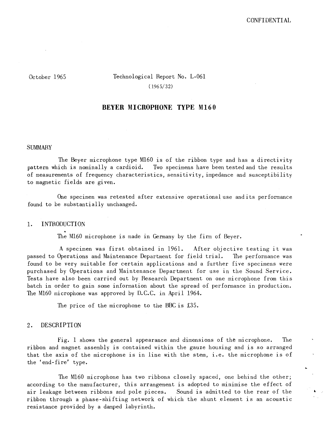October 1965

Technological Report No. L-061 (1965/32)

#### **BEYER MICROPHONE TYPE M160**

#### SUMMARY

The Beyer microphone type M160 is of the ribbon type and has a directivity<br>pattern which is nominally a cardioid. Two specimens have been tested and the results Two specimens have been tested and the results of measurements of frequency characteristics, sensitivity, impedance and susceptibility to magnetic fields are given.

One specimen was retested after extensive operational use andits performance found to be substantially unchanged.

#### 1. INTRODUCTION

The M160 microphone is made in Germany by the firm of Beyer.

A specimen was first obtained in 1961. After objective testing it was<br>Dperations and Maintenance Department for field trial. The performance was passed to Operations and Maintenance Department for field trial. found to be very suitable for certain applications and a further five specimens were purchased by Operations and Maintenance Department for use in the Sound Service. Tests have also been carried out by Research Department on one microphone from this batch in order to gain some information about the spread of performance in production. The M160 microphone was approved by D.C.C. in April 1964.

The price of the microphone to the BBC is £35.

#### 2. DESCRIPTION

Fig. 1 shows the general appearance and dimensions of the microphone. The ribbon and magnet assembly is contained within the gauze housing and is so arranged that the axis of the microphone is in line with the stem, i.e. the microphone is of the 'end-fire' type.

The M160 microphone has two ribbons closely spaced, one behind the other; according to the manufacturer, this arrangement is adopted to minimise the effect of air leakage between ribbons and pole pieces. Sound is admitted to the rear of the ribbon through a phase-shifting network of which the shunt element is an acoustic resistance provided by a damped labyrinth.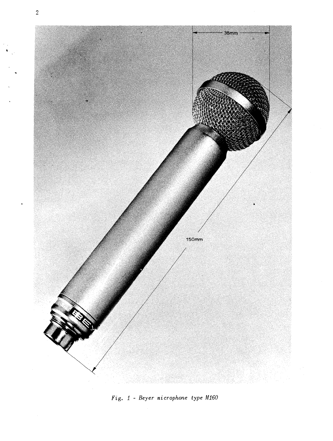

*Fig.* 1 - *Beyer microphone type M160*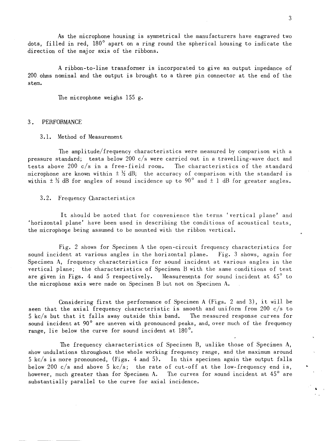As the microphone housing is symmetrical the manufacturers have engraved two dots, filled in red, 180° apart on a ring round the spherical housing to indicate the direction of the major axis of the ribbons.

A ribbon-to-line transformer is incorporated to give an output impedance of 200 ohms nominal and the output is brought to a three pin connector at the end of the stem.

The microphone weighs 155 g.

#### 3. PERFORMANCE

#### 3.1. Method of Measurement

The amplitude/frequency characteristics were measured by comparison with a pressure standard; tests below 200  $c/s$  were carried out in a travelling-wave duct and tests above 200 c/s in a free-field room. The characteristics of the standard microphone are known within  $\pm \frac{1}{2}$  dB; the accuracy of comparison with the standard is within  $\pm \frac{1}{2}$  dB for angles of sound incidence up to 90° and  $\pm$  1 dB for greater angles.

#### 3.2. Frequency Characteristics

It should be noted that for convenience the terms 'vertical plane' and 'horizontal plane' have been used in describing the conditions of acoustical tests, the microphone being assumed to be mounted with the ribbon vertical.

Fig. 2 shows for Specimen A the open-circuit frequency characteristics for sound incident at various angles in the horizontal plane. Fig. 3 shows, again for Specimen A, frequency characteristics for sound incident at various angles in the vertical plane; the characteristics of Specimen B with the same conditions of test are given in Figs. 4 and 5 respectively. Measurements for sound incident at 45° to the microphone axis were made on Specimen B but not on Specimen **A.** 

Considering first the performance of Specimen A (Figs. 2 and 3), it will be seen that the axial frequency characteristic is smooth and uniform from 200  $c/s$  to 5 kc/s but that it falls away outside this band. The measured response curves for sound incident at  $90^\circ$  are uneven with pronounced peaks, and, over much of the frequency range, lie below the curve for sound incident at 180°.

The frequency characteristics of Specimen B, unlike those of Specimen A, show undulations throughout the whole working frequency range, and the maximum around 5 kc/s is more pronounced, (Figs. 4 and 5). In this specimen again the output falls below 200  $c/s$  and above 5 kc/s; the rate of cut-off at the low-frequency end is, however, much greater than for Specimen **A.** The curves for sound incident at 45° are substantially parallel to the curve for axial incidence.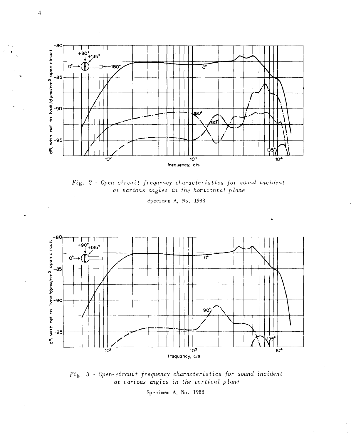

Fig. 2 - Open-circuit frequency characteristics for sound incident at various angles in the horizontal plane

Specimen A, No. 1988



Fig. 3 - Open-circuit frequency characteristics for sound incident at various angles in the vertical plane

Specimen A, No. 1988

 $\bf 4$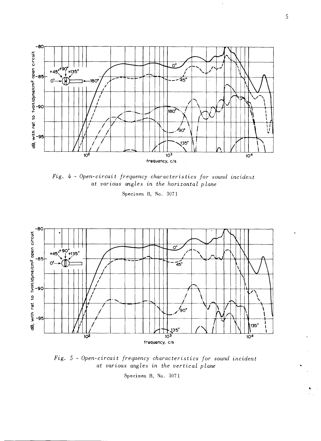

Fig. 4 - Open-circuit frequency characteristics for sound incident at various angles in the horizontal plane

Specimen B, No. 3071



Fig. 5 - Open-circuit frequency characteristics for sound incident at various angles in the vertical plane

Specimen B, No. 3071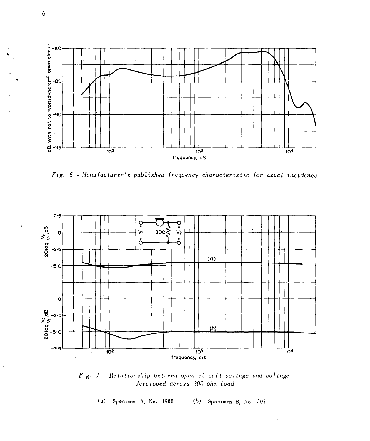

Fig. 6 - Manufacturer's published frequency characteristic for axial incidence



Fig. 7 - Relationship between open-circuit voltage and voltage developed across 300 ohm load

 $(a)$  Specimen A, No. 1988  $(b)$  Specimen B, No. 3071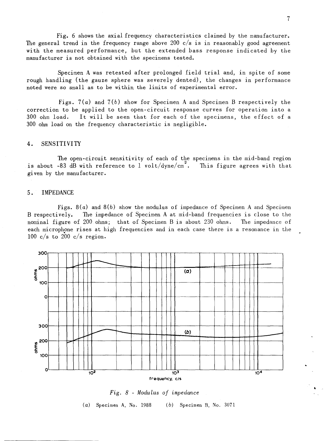Fig. 6 shows the axial frequency characteristics claimed by the manufacturer. The general trend in the frequency range *above* 200 *cls* is in reasonably good agreement with the measured performance, but the extended bass response indicated by the manufacturer is not obtained with the specimens tested.

Specimen A was retested after prolonged field trial and, in spite of some rough handling (the gauze sphere was severely dented), the changes in performance noted were so small as to be within the limits of experimental error.

Figs. *7(a)* and *7(b)* show for Specimen A and Specimen B respectively the correction to be applied to the open-circuit response curves for operation into a 300 ohm load. It will be seen that for each of the specimens, the effect of a 300 ohm load on the frequency characteristic is negligible.

#### 4. SENSITIVITY

The open-circuit sensitivity of each of the specimens in the mid-band region is about -83 dB with reference to 1 volt/dyne/cm<sup>2</sup>. This figure agrees with that given by the manufacturer.

#### 5. IMPEDANCE

Figs. *8(a)* and *8(b)* show the modulus of impedance of Specimen A and Specimen B respectively. The impedance of Specimen A at mid-band frequencies is close to the nominal figure of 200. ohms; that of Specimen B is about 230 ohms. The impedance of each microphone rises at high frequencies and in each case there is a resonance in the 100 *cls* to 200 *cls* region.



*Fig.* 8 - *Modulus of impedance* 

(a) Specimen A, No. 1988 (b) Specimen B, No. 3071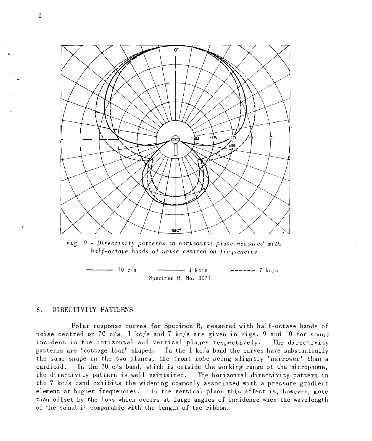

*Fig.* 9 - *Directivi ty patterns in horizontal p lane measured wi th half-octave bands of noise centred on frequencies* 

**----** 70 c/s Specimen B, No. 3071  $-----7$  kc/s

#### 6. DIRECTIVITY PATTERNS

Polar response curves for Specimen B, measured with half-octave bands of noise centred on 70 c/s, 1 kc/s and 7 kc/s are given in Figs. 9 and 10 for sound incident in the horizontal and vertical planes respectively. The directivity patterns are 'cottage loaf' shaped. In the 1 kc/s band the curves have substantially the same shape in the two planes, the front lobe being slightly' narrower' than a cardioid. In the 70 c/s band, which is outside the.working range of the microphone, the directivity pattern is well maintained. The horizontal directivity pattern in the 7 kc/s band exhibits the widening commonly associated with a pressure gradient element at higher frequencies. In the vertical plane this effect is, however, more than offset by the loss which occurs at large angles of incidence when the wavelength of the sound is comparable with the length of the ribbon.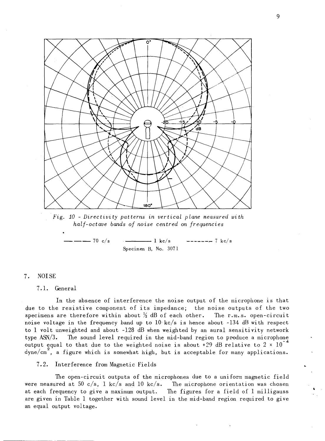

*Fig.* 10 - *Directivity patterns in vertical plane measured with half-octave bands of noise centred on frequencies* 

 $70 \text{ c/s}$   $1 \text{ kc/s}$   $7 \text{ kc/s}$ Specimen B, No. 3071

#### 7. NOISE

#### 7.1. General

In the absence of interference the noise output of the microphone is that due to the resistive component of its impedance; the noise outputs of the two specimens are therefore within about  $\frac{1}{2}$  dB of each other. The r.m.s. open-circuit noise voltage in the frequency band up to  $10 \text{ kc/s}$  is hence about -134 dB with respect to 1 volt unweighted and about -128 dB when weighted by an aural sensitivity network type ASN/3. The sound level required in the mid-band region to produce a microphone output equal to that due to the weighted noise is about +29 dB relative to  $2 \times 10^{-4}$ dyne/cm $^2$ , a figure which is somewhat high, but is acceptable for many applications.

7.2. Interference from Magnetic Fields

The open-circuit outputs of the microphones due to a uniform magnetic field were measured at 50 c/s, 1 kc/s and 10 kc/s. The microphone orientation was chosen at each frequency to give a maximum output. The figures for a field of 1 milligauss are given in Table 1 together with sound level in the mid-band region required to give an equal output voltage.